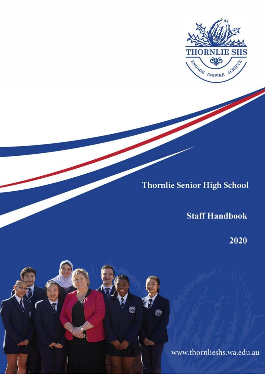

# **Thornlie Senior High School**

## **Staff Handbook**

2020

www.thornlieshs.wa.edu.au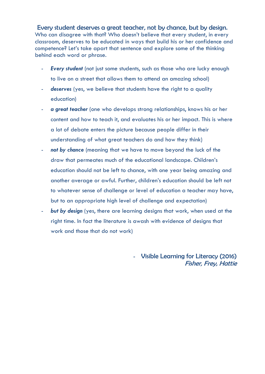Every student deserves a great teacher, not by chance, but by design. Who can disagree with that? Who doesn't believe that every student, in every classroom, deserves to be educated in ways that build his or her confidence and competence? Let's take apart that sentence and explore some of the thinking behind each word or phrase.

- **Every student** (not just some students, such as those who are lucky enough to live on a street that allows them to attend an amazing school)
- deserves (yes, we believe that students have the right to a quality education)
- a great teacher (one who develops strong relationships, knows his or her content and how to teach it, and evaluates his or her impact. This is where a lot of debate enters the picture because people differ in their understanding of what great teachers do and how they think)
- not by chance (meaning that we have to move beyond the luck of the draw that permeates much of the educational landscape. Children's education should not be left to chance, with one year being amazing and another average or awful. Further, children's education should be left not to whatever sense of challenge or level of education a teacher may have, but to an appropriate high level of challenge and expectation)
- *but by design* (yes, there are learning designs that work, when used at the right time. In fact the literature is awash with evidence of designs that work and those that do not work)

- Visible Learning for Literacy (2016) Fisher, Frey, Hattie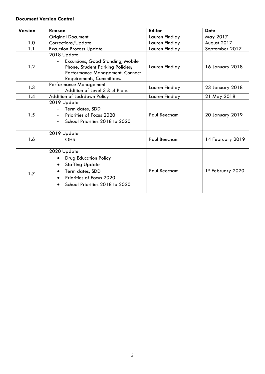#### **Document Version Control**

| Version | Reason                                                                                                                                                 | <b>Editor</b>  | <b>Date</b>       |  |
|---------|--------------------------------------------------------------------------------------------------------------------------------------------------------|----------------|-------------------|--|
|         | <b>Original Document</b>                                                                                                                               | Lauren Findlay | May 2017          |  |
| 1.0     | Corrections/Update                                                                                                                                     | Lauren Findlay | August 2017       |  |
| 1.1     | <b>Excursion Process Update</b>                                                                                                                        | Lauren Findlay | September 2017    |  |
| 1.2     | 2018 Update<br>Excursions, Good Standing, Mobile<br>Phone, Student Parking Policies;<br>Performance Management, Connect<br>Requirements, Committees.   | Lauren Findlay | 16 January 2018   |  |
| 1.3     | Performance Management<br>Addition of Level 3 & 4 Plans                                                                                                | Lauren Findlay | 23 January 2018   |  |
| 1.4     | Addition of Lockdown Policy                                                                                                                            | Lauren Findlay | 21 May 2018       |  |
| 1.5     | 2019 Update<br>Term dates, SDD<br>Priorities of Focus 2020<br>School Priorities 2018 to 2020<br>$\blacksquare$                                         | Paul Beecham   | 20 January 2019   |  |
| 1.6     | 2019 Update<br><b>OHS</b>                                                                                                                              | Paul Beecham   | 14 February 2019  |  |
| 1.7     | 2020 Update<br><b>Drug Education Policy</b><br><b>Staffing Update</b><br>Term dates, SDD<br>Priorities of Focus 2020<br>School Priorities 2018 to 2020 | Paul Beecham   | 1st February 2020 |  |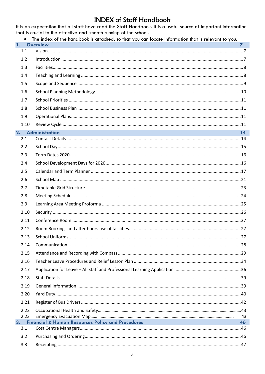#### **INDEX of Staff Handbook** It is an expectation that all staff have read the Staff Handbook. It is a useful source of important information

|           | that is crucial to the effective and smooth running of the school.                                                    |              |
|-----------|-----------------------------------------------------------------------------------------------------------------------|--------------|
| 1.        | The index of the handbook is attached, so that you can locate information that is relevant to you.<br><b>Overview</b> | $\mathbf{z}$ |
| 1.1       |                                                                                                                       |              |
| 1.2       |                                                                                                                       |              |
| 1.3       |                                                                                                                       |              |
| 1.4       |                                                                                                                       |              |
| 1.5       |                                                                                                                       |              |
| 1.6       |                                                                                                                       |              |
| 1.7       |                                                                                                                       |              |
| 1.8       |                                                                                                                       |              |
| 1.9       |                                                                                                                       |              |
| 1.10      |                                                                                                                       |              |
|           | and the control of the control of the control of the control of the control of the control of<br>2. Administration    | 14           |
| 2.1       |                                                                                                                       |              |
| 2.2       |                                                                                                                       |              |
| 2.3       |                                                                                                                       |              |
| 2.4       |                                                                                                                       |              |
| 2.5       |                                                                                                                       |              |
| 2.6       |                                                                                                                       |              |
| 2.7       |                                                                                                                       |              |
| 2.8       |                                                                                                                       |              |
| 2.9       |                                                                                                                       |              |
| 2.10      |                                                                                                                       |              |
| 2.11      |                                                                                                                       |              |
| 2.12      |                                                                                                                       |              |
| 2.13      |                                                                                                                       |              |
| 2.14      |                                                                                                                       |              |
| 2.15      |                                                                                                                       |              |
| 2.16      |                                                                                                                       |              |
| 2.17      |                                                                                                                       |              |
| 2.18      |                                                                                                                       |              |
| 2.19      |                                                                                                                       |              |
| 2.20      |                                                                                                                       |              |
| 2.21      |                                                                                                                       |              |
| 2.22      |                                                                                                                       |              |
| 2.23      |                                                                                                                       | 43           |
| 3.<br>3.1 | <b>Financial &amp; Human Resources Policy and Procedures</b>                                                          | 46           |
| 3.2       |                                                                                                                       |              |
| 3.3       |                                                                                                                       |              |
|           |                                                                                                                       |              |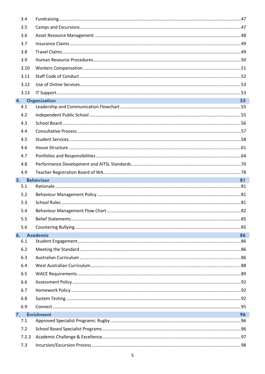| 3.4   |                                                                                                                                                                                                                                                       |    |
|-------|-------------------------------------------------------------------------------------------------------------------------------------------------------------------------------------------------------------------------------------------------------|----|
| 3.5   |                                                                                                                                                                                                                                                       |    |
| 3.6   |                                                                                                                                                                                                                                                       |    |
| 3.7   |                                                                                                                                                                                                                                                       |    |
| 3.8   |                                                                                                                                                                                                                                                       |    |
| 3.9   |                                                                                                                                                                                                                                                       |    |
| 3.10  |                                                                                                                                                                                                                                                       |    |
| 3.11  |                                                                                                                                                                                                                                                       |    |
| 3.12  |                                                                                                                                                                                                                                                       |    |
| 3.13  |                                                                                                                                                                                                                                                       |    |
|       | 4. Organisation                                                                                                                                                                                                                                       | 55 |
| 4.1   |                                                                                                                                                                                                                                                       |    |
| 4.2   |                                                                                                                                                                                                                                                       |    |
| 4.3   |                                                                                                                                                                                                                                                       |    |
| 4.4   |                                                                                                                                                                                                                                                       |    |
| 4.5   |                                                                                                                                                                                                                                                       |    |
| 4.6   |                                                                                                                                                                                                                                                       |    |
| 4.7   |                                                                                                                                                                                                                                                       |    |
| 4.8   |                                                                                                                                                                                                                                                       |    |
| 4.9   |                                                                                                                                                                                                                                                       |    |
| 5.    | e de la construcción de la construcción de la construcción de la construcción de la construcción de la construcción<br>En la construcción de la construcción de la construcción de la construcción de la construcción de la const<br><b>Behaviour</b> | 81 |
| 5.1   |                                                                                                                                                                                                                                                       |    |
| 5.2   |                                                                                                                                                                                                                                                       |    |
| 5.3   |                                                                                                                                                                                                                                                       |    |
| 5.4   |                                                                                                                                                                                                                                                       |    |
| 5.5   |                                                                                                                                                                                                                                                       |    |
| 5.6   |                                                                                                                                                                                                                                                       |    |
| 6.    | Academic                                                                                                                                                                                                                                              | 86 |
| 6.1   |                                                                                                                                                                                                                                                       |    |
| 6.2   |                                                                                                                                                                                                                                                       |    |
| 6.3   |                                                                                                                                                                                                                                                       |    |
| 6.4   |                                                                                                                                                                                                                                                       |    |
| 6.5   |                                                                                                                                                                                                                                                       |    |
| 6.6   |                                                                                                                                                                                                                                                       |    |
| 6.7   |                                                                                                                                                                                                                                                       |    |
| 6.8   |                                                                                                                                                                                                                                                       |    |
| 6.9   |                                                                                                                                                                                                                                                       |    |
| 7.    | <b>Enrichment</b>                                                                                                                                                                                                                                     | 96 |
| 7.1   |                                                                                                                                                                                                                                                       |    |
| 7.2   |                                                                                                                                                                                                                                                       |    |
| 7.2.3 |                                                                                                                                                                                                                                                       |    |
| 7.3   |                                                                                                                                                                                                                                                       |    |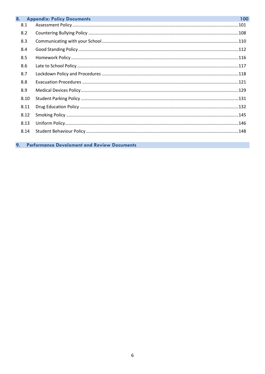| 8.  |      | <b>Appendix: Policy Documents</b> | 100 |
|-----|------|-----------------------------------|-----|
| 8.1 |      |                                   |     |
| 8.2 |      |                                   |     |
| 8.3 |      |                                   |     |
| 8.4 |      |                                   |     |
| 8.5 |      |                                   |     |
| 8.6 |      |                                   |     |
| 8.7 |      |                                   |     |
| 8.8 |      |                                   |     |
| 8.9 |      |                                   |     |
|     | 8.10 |                                   |     |
|     | 8.11 |                                   |     |
|     | 8.12 |                                   |     |
|     | 8.13 |                                   |     |
|     | 8.14 |                                   |     |
|     |      |                                   |     |

Performance Develoment and Review Documents 9.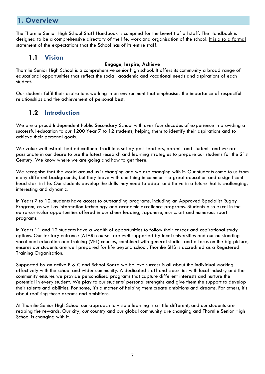### <span id="page-6-0"></span>**1. Overview**

The Thornlie Senior High School Staff Handbook is compiled for the benefit of all staff. The Handbook is designed to be a comprehensive directory of the life, work and organisation of the school. It is also a formal statement of the expectations that the School has of its entire staff.

#### **1.1 Vision**

#### **Engage, Inspire, Achieve**

<span id="page-6-1"></span>Thornlie Senior High School is a comprehensive senior high school. It offers its community a broad range of educational opportunities that reflect the social, academic and vocational needs and aspirations of each student.

Our students fulfil their aspirations working in an environment that emphasises the importance of respectful relationships and the achievement of personal best.

### **1.2 Introduction**

<span id="page-6-2"></span>We are a proud Independent Public Secondary School with over four decades of experience in providing a successful education to our 1200 Year 7 to 12 students, helping them to identify their aspirations and to achieve their personal goals.

We value well established educational traditions set by past teachers, parents and students and we are passionate in our desire to use the latest research and learning strategies to prepare our students for the 21st Century. We know where we are going and how to get there.

We recognise that the world around us is changing and we are changing with it. Our students come to us from many different backgrounds, but they leave with one thing in common - a great education and a significant head start in life. Our students develop the skills they need to adapt and thrive in a future that is challenging, interesting and dynamic.

In Years 7 to 10, students have access to outstanding programs, including an Approved Specialist Rugby Program, as well as information technology and academic excellence programs. Students also excel in the extra-curricular opportunities offered in our cheer leading, Japanese, music, art and numerous sport programs.

In Years 11 and 12 students have a wealth of opportunities to follow their career and aspirational study options. Our tertiary entrance (ATAR) courses are well supported by local universities and our outstanding vocational education and training (VET) courses, combined with general studies and a focus on the big picture, ensures our students are well prepared for life beyond school. Thornlie SHS is accredited as a Registered Training Organisation.

Supported by an active P & C and School Board we believe success is all about the individual working effectively with the school and wider community. A dedicated staff and close ties with local industry and the community ensures we provide personalised programs that capture different interests and nurture the potential in every student. We play to our students' personal strengths and give them the support to develop their talents and abilities. For some, it's a matter of helping them create ambitions and dreams. For others, it's about realising those dreams and ambitions.

At Thornlie Senior High School our approach to visible learning is a little different, and our students are reaping the rewards. Our city, our country and our global community are changing and Thornlie Senior High School is changing with it.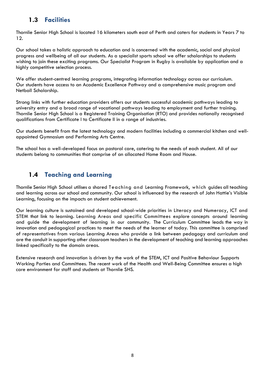#### **1.3 Facilities**

<span id="page-7-0"></span>Thornlie Senior High School is located 16 kilometers south east of Perth and caters for students in Years 7 to 12.

Our school takes a holistic approach to education and is concerned with the academic, social and physical progress and wellbeing of all our students. As a specialist sports school we offer scholarships to students wishing to join these exciting programs. Our Specialist Program in Rugby is available by application and a highly competitive selection process.

We offer student-centred learning programs, integrating information technology across our curriculum. Our students have access to an Academic Excellence Pathway and a comprehensive music program and Netball Scholarship.

Strong links with further education providers offers our students successful academic pathways leading to university entry and a broad range of vocational pathways leading to employment and further training. Thornlie Senior High School is a Registered Training Organisation (RTO) and provides nationally recognised qualifications from Certificate I to Certificate II in a range of industries.

Our students benefit from the latest technology and modern facilities including a commercial kitchen and wellappointed Gymnasium and Performing Arts Centre.

The school has a well-developed focus on pastoral care, catering to the needs of each student. All of our students belong to communities that comprise of an allocated Home Room and House.

### **1.4 Teaching and Learning**

<span id="page-7-1"></span>Thornlie Senior High School utilises a shared Teaching and Learning Framework, which guides all teaching and learning across our school and community. Our school is influenced by the research of John Hattie's Visible Learning, focusing on the impacts on student achievement.

Our learning culture is sustained and developed school-wide priorities in Literacy and Numeracy, ICT and STEM that link to learning. Learning Areas and specific Committees explore concepts around learning and guide the development of learning in our community. The Curriculum Committee leads the way in innovation and pedagogical practices to meet the needs of the learner of today. This committee is comprised of representatives from various Learning Areas who provide a link between pedagogy and curriculum and are the conduit in supporting other classroom teachers in the development of teaching and learning approaches linked specifically to the domain areas.

Extensive research and innovation is driven by the work of the STEM, ICT and Positive Behaviour Supports Working Parties and Committees. The recent work of the Health and Well-Being Committee ensures a high care environment for staff and students at Thornlie SHS.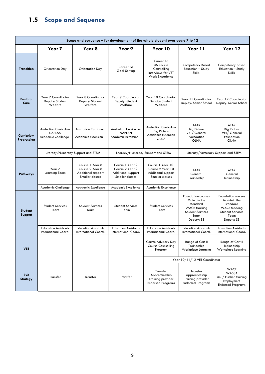## <span id="page-8-0"></span>**1.5 Scope and Sequence**

| Scope and sequence - for development of the whole student over years 7 to 12 |                                                                     |                                                                             |                                                                             |                                                                                         |                                                                                                                                |                                                                                                                                |
|------------------------------------------------------------------------------|---------------------------------------------------------------------|-----------------------------------------------------------------------------|-----------------------------------------------------------------------------|-----------------------------------------------------------------------------------------|--------------------------------------------------------------------------------------------------------------------------------|--------------------------------------------------------------------------------------------------------------------------------|
|                                                                              | Year <sub>7</sub>                                                   | Year 8                                                                      | Year 9                                                                      | Year 10                                                                                 | Year 11                                                                                                                        | Year 12                                                                                                                        |
| <b>Transition</b>                                                            | Orientation Day                                                     | Orientation Day                                                             | Career Ed<br><b>Goal Setting</b>                                            | Career Ed<br><b>US Course</b><br>Counselling<br>Interviews for VET<br>Work Experience   | Competency Based<br>Education - Study<br><b>Skills</b>                                                                         | <b>Competency Based</b><br>Education - Study<br><b>Skills</b>                                                                  |
| Pastoral<br>Care                                                             | Year 7 Coordinator<br>Deputy: Student<br>Welfare                    | Year 8 Coordinator<br>Deputy: Student<br>Welfare                            | Year 9 Coordinator<br>Deputy: Student<br>Welfare                            | Year 10 Coordinator<br>Deputy: Student<br>Welfare                                       | Year 11 Coordinator<br>Deputy: Senior School                                                                                   | Year 12 Coordinator<br>Deputy: Senior School                                                                                   |
| Curriculum<br>Progression                                                    | <b>Australian Curriculum</b><br><b>NAPLAN</b><br>Academic Challenge | <b>Australian Curriculum</b><br><b>Academic Extension</b>                   | <b>Australian Curriculum</b><br><b>NAPLAN</b><br><b>Academic Extension</b>  | Australian Curriculum<br><b>Big Picture</b><br><b>Academic Extension</b><br><b>OLNA</b> | <b>ATAR</b><br><b>Big Picture</b><br>VET/ General<br>Foundation<br><b>OLNA</b>                                                 | <b>ATAR</b><br><b>Big Picture</b><br>VET/ General<br>Foundation<br><b>OLNA</b>                                                 |
| Literacy/Numeracy Support and STEM<br>Literacy/Numeracy Support and STEM     |                                                                     | Literacy/Numeracy Support and STEM                                          |                                                                             |                                                                                         |                                                                                                                                |                                                                                                                                |
| Pathways                                                                     | Year 7<br>Learning Team                                             | Course 1 Year 8<br>Course 2 Year 8<br>Additional support<br>Smaller classes | Course 1 Year 9<br>Course 2 Year 9<br>Additional support<br>Smaller classes | Course 1 Year 10<br>Course 2 Year 10<br>Additional support<br>Smaller classes           | <b>ATAR</b><br>General<br>Traineeship                                                                                          | <b>ATAR</b><br>General<br>Traineeship                                                                                          |
|                                                                              | Academic Challenge                                                  | Academic Excellence                                                         | Academic Excellence                                                         | Academic Excellence                                                                     |                                                                                                                                |                                                                                                                                |
| <b>Student</b><br>Support                                                    | <b>Student Services</b><br>Team                                     | <b>Student Services</b><br>Team                                             | <b>Student Services</b><br>Team                                             | <b>Student Services</b><br>Team                                                         | <b>Foundation courses</b><br>Maintain the<br>standard<br><b>WACE tracking</b><br><b>Student Services</b><br>Team<br>Deputy: SS | <b>Foundation courses</b><br>Maintain the<br>standard<br><b>WACE tracking</b><br><b>Student Services</b><br>Team<br>Deputy: SS |
|                                                                              | <b>Education Assistants</b><br>International Coord.                 | <b>Education Assistants</b><br>International Coord.                         | <b>Education Assistants</b><br>International Coord.                         | <b>Education Assistants</b><br>International Coord.                                     | <b>Education Assistants</b><br>International Coord.                                                                            | <b>Education Assistants</b><br>International Coord.                                                                            |
| <b>VET</b>                                                                   |                                                                     |                                                                             |                                                                             | Course Advisory Day<br><b>Course Counselling</b><br>Program                             | Range of Cert II<br>Traineeship<br>Workplace Learning                                                                          | Range of Cert II<br>Traineeship<br>Workplace Learning                                                                          |
|                                                                              |                                                                     |                                                                             | Year 10/11/12 VET Coordinator                                               |                                                                                         |                                                                                                                                |                                                                                                                                |
| Exit<br><b>Strategy</b>                                                      | Transfer                                                            | Transfer                                                                    | Transfer                                                                    | Transfer<br>Apprenticeship<br>Training provider<br><b>Endorsed Programs</b>             | Transfer<br>Apprenticeship<br>Training provider<br><b>Endorsed Programs</b>                                                    | WACE<br>WASSA<br>Uni / Further training<br>Employment<br><b>Endorsed Programs</b>                                              |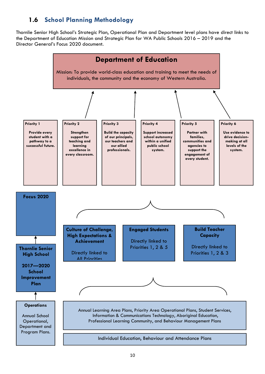### **1.6 School Planning Methodology**

<span id="page-9-0"></span>Thornlie Senior High School's Strategic Plan, Operational Plan and Department level plans have direct links to the Department of Education Mission and Strategic Plan for WA Public Schools 2016 – 2019 and the Director General's Focus 2020 document.

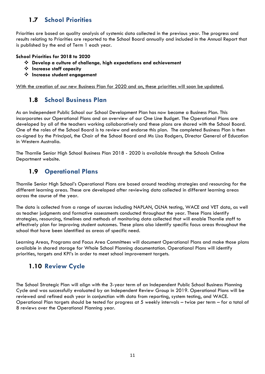### <span id="page-10-0"></span>**1.7 School Priorities**

Priorities are based on quality analysis of systemic data collected in the previous year. The progress and results relating to Priorities are reported to the School Board annually and included in the Annual Report that is published by the end of Term 1 each year.

#### **School Priorities for 2018 to 2020**

- **Develop a culture of challenge, high expectations and achievement**
- **Increase staff capacity**
- **Increase student engagement**

<span id="page-10-1"></span>With the creation of our new Business Plan for 2020 and on, these priorities will soon be updated.

#### **1.8 School Business Plan**

As an Independent Public School our School Development Plan has now become a Business Plan. This incorporates our Operational Plans and an overview of our One Line Budget. The Operational Plans are developed by all of the teachers working collaboratively and these plans are shared with the School Board. One of the roles of the School Board is to review and endorse this plan. The completed Business Plan is then co-signed by the Principal, the Chair of the School Board and Ms Lisa Rodgers, Director General of Education in Western Australia.

The Thornlie Senior High School Business Plan 2018 - 2020 is available through the Schools Online Department website.

#### <span id="page-10-2"></span>**1.9 Operational Plans**

Thornlie Senior High School's Operational Plans are based around teaching strategies and resourcing for the different learning areas. These are developed after reviewing data collected in different learning areas across the course of the year.

The data is collected from a range of sources including NAPLAN, OLNA testing, WACE and VET data, as well as teacher judgments and formative assessments conducted throughout the year. These Plans identify strategies, resourcing, timelines and methods of monitoring data collected that will enable Thornlie staff to effectively plan for improving student outcomes. These plans also identify specific focus areas throughout the school that have been identified as areas of specific need.

Learning Areas, Programs and Focus Area Committees will document Operational Plans and make those plans available in shared storage for Whole School Planning documentation. Operational Plans will identify priorities, targets and KPI's in order to meet school improvement targets.

#### <span id="page-10-3"></span>**1.10 Review Cycle**

The School Strategic Plan will align with the 3-year term of an Independent Public School Business Planning Cycle and was successfully evaluated by an Independent Review Group in 2019. Operational Plans will be reviewed and refined each year in conjunction with data from reporting, system testing, and WACE. Operational Plan targets should be tested for progress at 5 weekly intervals – twice per term – for a total of 8 reviews over the Operational Planning year.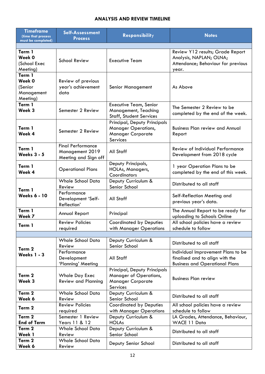#### **ANALYSIS AND REVIEW TIMELINE**

| <b>Timeframe</b><br>(time that process                | Self-Assessment                                                     | <b>Responsibility</b>                                                                                 | <b>Notes</b>                                                                                                   |  |  |
|-------------------------------------------------------|---------------------------------------------------------------------|-------------------------------------------------------------------------------------------------------|----------------------------------------------------------------------------------------------------------------|--|--|
| must be completed)                                    | <b>Process</b>                                                      |                                                                                                       |                                                                                                                |  |  |
|                                                       |                                                                     |                                                                                                       |                                                                                                                |  |  |
| Term 1<br>Week 0<br>(School Exec<br>Meeting)          | <b>School Review</b>                                                | <b>Executive Team</b>                                                                                 | Review Y12 results; Grade Report<br>Analysis, NAPLAN; OLNA;<br>Attendance; Behaviour for previous<br>year.     |  |  |
| Term 1<br>Week 0<br>(Senior<br>Management<br>Meeting) | Review of previous<br>year's achievement<br>data                    | <b>Senior Management</b>                                                                              | As Above                                                                                                       |  |  |
| Term 1<br>Week 3                                      | Semester 2 Review                                                   | <b>Executive Team, Senior</b><br>Management, Teaching<br><b>Staff, Student Services</b>               | The Semester 2 Review to be<br>completed by the end of the week.                                               |  |  |
| Term 1<br>Week 4                                      | Semester 2 Review                                                   | Principal, Deputy Principals<br><b>Manager Operations,</b><br><b>Manager Corporate</b><br>Services    | <b>Business Plan review and Annual</b><br>Report                                                               |  |  |
| Term 1<br><b>Weeks 3 - 5</b>                          | <b>Final Performance</b><br>Management 2019<br>Meeting and Sign off | All Staff                                                                                             | Review of Individual Performance<br>Development from 2018 cycle                                                |  |  |
| Term 1<br>Week 4                                      | <b>Operational Plans</b>                                            | Deputy Principals,<br>HOLAs, Managers,<br>Coordinators                                                | 1 year Operation Plans to be<br>completed by the end of this week.                                             |  |  |
| Term 1<br><b>Weeks 6 - 10</b>                         | <b>Whole School Data</b><br>Review                                  | Deputy Curriculum &<br>Senior School                                                                  | Distributed to all staff                                                                                       |  |  |
|                                                       | Performance<br>Development 'Self-<br>Reflection'                    | All Staff                                                                                             | Self-Reflection Meeting and<br>previous year's data.                                                           |  |  |
| Term 1<br>Week 7                                      | Annual Report                                                       | Principal                                                                                             | The Annual Report to be ready for<br>uploading to Schools Online                                               |  |  |
| Term 1                                                | <b>Review Policies</b><br>required                                  | <b>Coordinated by Deputies</b><br>with Manager Operations                                             | All school policies have a review<br>schedule to follow                                                        |  |  |
|                                                       |                                                                     |                                                                                                       |                                                                                                                |  |  |
| Term <sub>2</sub>                                     | <b>Whole School Data</b><br>Review                                  | Deputy Curriculum &<br>Senior School                                                                  | Distributed to all staff                                                                                       |  |  |
| <b>Weeks 1 - 3</b>                                    | Performance<br>Development<br>'Planning' Meeting                    | All Staff                                                                                             | Individual Improvement Plans to be<br>finalised and to align with the<br><b>Business and Operational Plans</b> |  |  |
| Term 2<br>Week 3                                      | Whole Day Exec<br><b>Review and Planning</b>                        | Principal, Deputy Principals<br>Manager of Operations,<br><b>Manager Corporate</b><br><b>Services</b> | <b>Business Plan review</b>                                                                                    |  |  |
| Term 2<br>Week 6                                      | Whole School Data<br>Review                                         | Deputy Curriculum &<br>Senior School                                                                  | Distributed to all staff                                                                                       |  |  |
| Term 2                                                | <b>Review Policies</b><br>required                                  | <b>Coordinated by Deputies</b><br>with Manager Operations                                             | All school policies have a review<br>schedule to follow                                                        |  |  |
| Term 2<br><b>End of Term</b>                          | Semester 1 Review<br>Years 11 & 12                                  | Deputy Curriculum &<br><b>HOLAs</b>                                                                   | LA Grades, Attendance, Behaviour,<br>WACE 11 Data                                                              |  |  |
| Term 2                                                | <b>Whole School Data</b>                                            | Deputy Curriculum &                                                                                   |                                                                                                                |  |  |
| Week 1                                                | Review                                                              | Senior School                                                                                         | Distributed to all staff                                                                                       |  |  |
| Term 2                                                | <b>Whole School Data</b>                                            |                                                                                                       |                                                                                                                |  |  |
| Week 6                                                | Review                                                              | Deputy Senior School                                                                                  | Distributed to all staff                                                                                       |  |  |